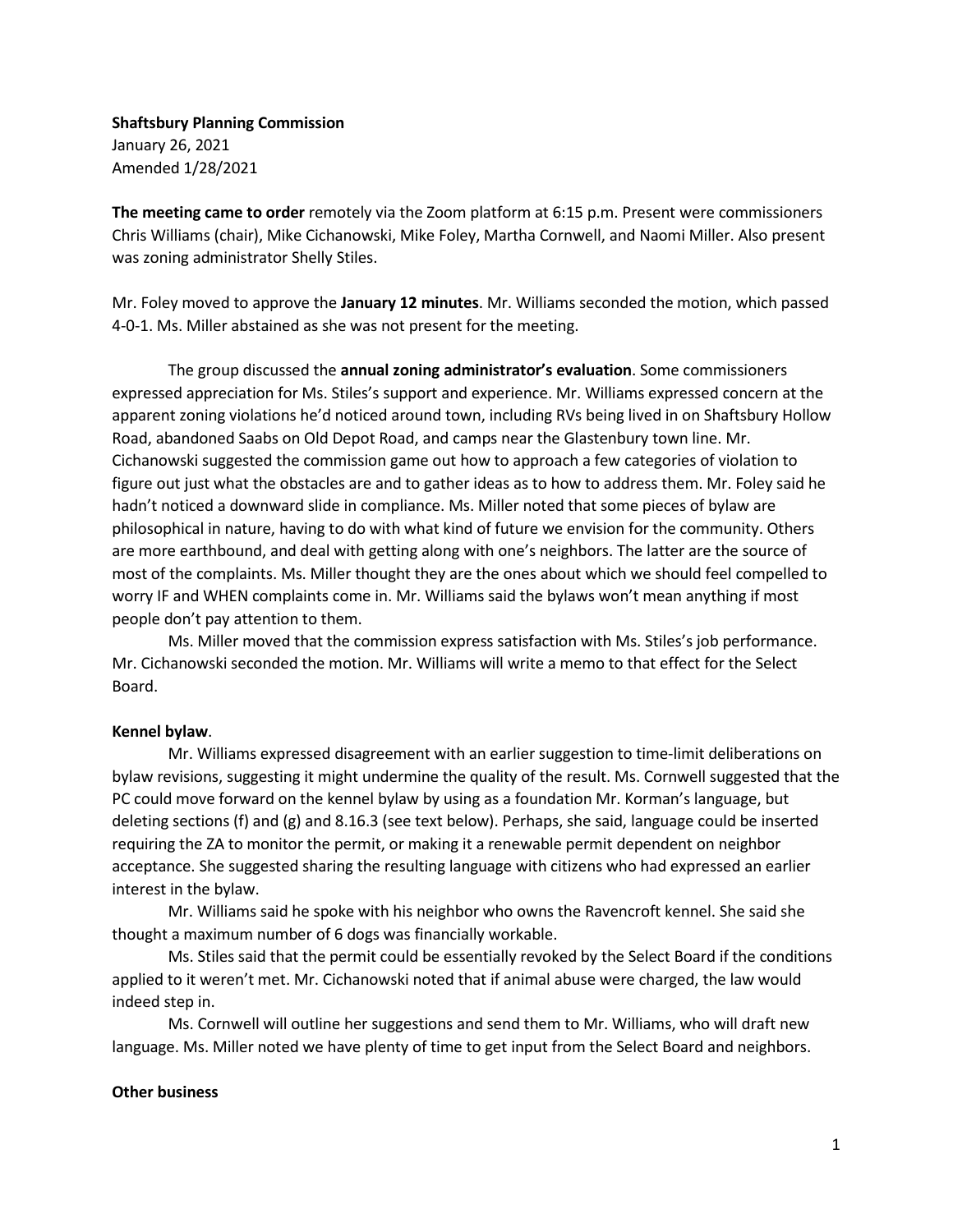Shaftsbury Planning Commission January 26, 2021 Amended 1/28/2021

The meeting came to order remotely via the Zoom platform at 6:15 p.m. Present were commissioners Chris Williams (chair), Mike Cichanowski, Mike Foley, Martha Cornwell, and Naomi Miller. Also present was zoning administrator Shelly Stiles.

Mr. Foley moved to approve the January 12 minutes. Mr. Williams seconded the motion, which passed 4-0-1. Ms. Miller abstained as she was not present for the meeting.

The group discussed the **annual zoning administrator's evaluation**. Some commissioners expressed appreciation for Ms. Stiles's support and experience. Mr. Williams expressed concern at the apparent zoning violations he'd noticed around town, including RVs being lived in on Shaftsbury Hollow Road, abandoned Saabs on Old Depot Road, and camps near the Glastenbury town line. Mr. Cichanowski suggested the commission game out how to approach a few categories of violation to figure out just what the obstacles are and to gather ideas as to how to address them. Mr. Foley said he hadn't noticed a downward slide in compliance. Ms. Miller noted that some pieces of bylaw are philosophical in nature, having to do with what kind of future we envision for the community. Others are more earthbound, and deal with getting along with one's neighbors. The latter are the source of most of the complaints. Ms. Miller thought they are the ones about which we should feel compelled to worry IF and WHEN complaints come in. Mr. Williams said the bylaws won't mean anything if most people don't pay attention to them.

Ms. Miller moved that the commission express satisfaction with Ms. Stiles's job performance. Mr. Cichanowski seconded the motion. Mr. Williams will write a memo to that effect for the Select Board.

## Kennel bylaw.

Mr. Williams expressed disagreement with an earlier suggestion to time-limit deliberations on bylaw revisions, suggesting it might undermine the quality of the result. Ms. Cornwell suggested that the PC could move forward on the kennel bylaw by using as a foundation Mr. Korman's language, but deleting sections (f) and (g) and 8.16.3 (see text below). Perhaps, she said, language could be inserted requiring the ZA to monitor the permit, or making it a renewable permit dependent on neighbor acceptance. She suggested sharing the resulting language with citizens who had expressed an earlier interest in the bylaw.

Mr. Williams said he spoke with his neighbor who owns the Ravencroft kennel. She said she thought a maximum number of 6 dogs was financially workable.

Ms. Stiles said that the permit could be essentially revoked by the Select Board if the conditions applied to it weren't met. Mr. Cichanowski noted that if animal abuse were charged, the law would indeed step in.

Ms. Cornwell will outline her suggestions and send them to Mr. Williams, who will draft new language. Ms. Miller noted we have plenty of time to get input from the Select Board and neighbors.

## Other business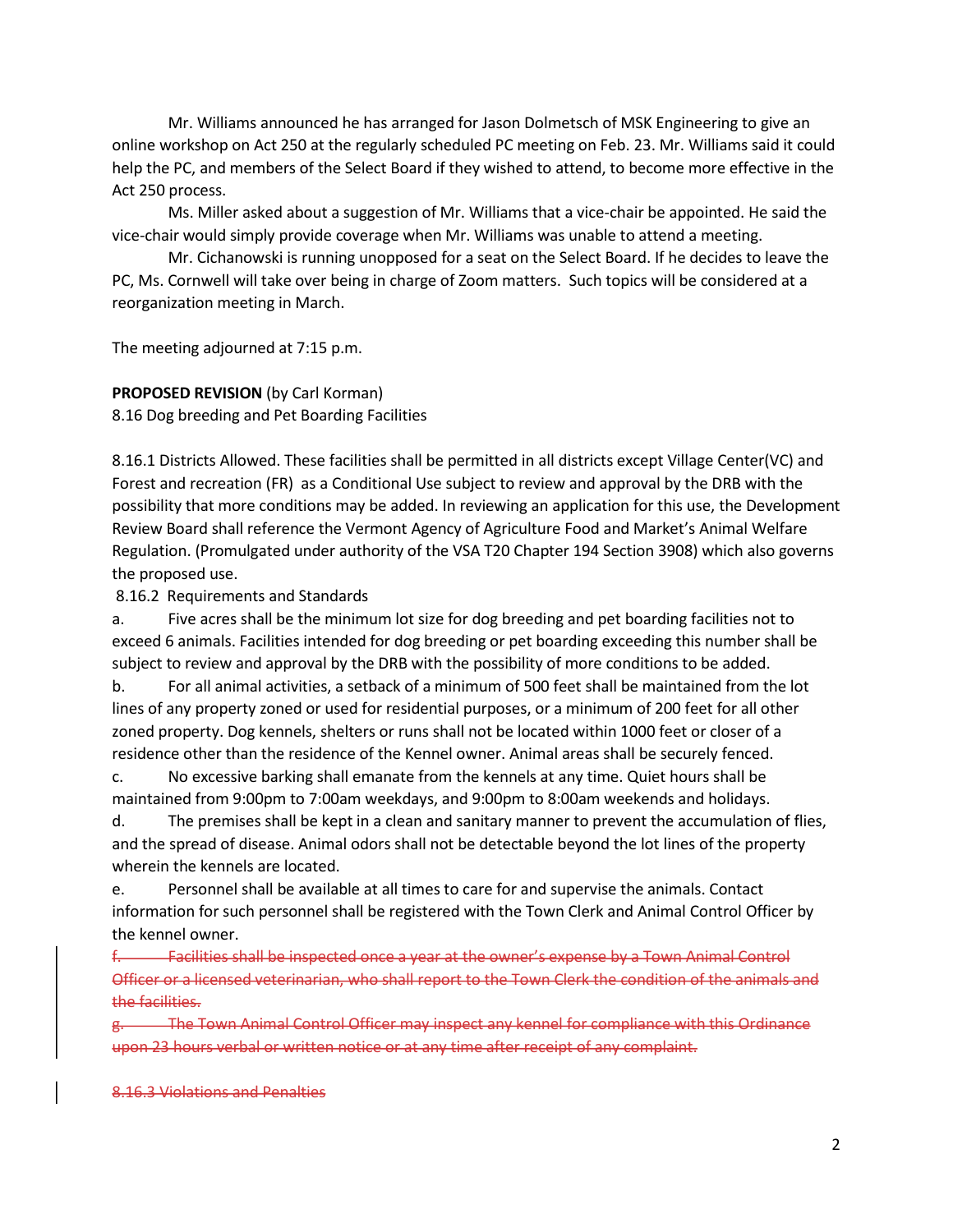Mr. Williams announced he has arranged for Jason Dolmetsch of MSK Engineering to give an online workshop on Act 250 at the regularly scheduled PC meeting on Feb. 23. Mr. Williams said it could help the PC, and members of the Select Board if they wished to attend, to become more effective in the Act 250 process.

Ms. Miller asked about a suggestion of Mr. Williams that a vice-chair be appointed. He said the vice-chair would simply provide coverage when Mr. Williams was unable to attend a meeting.

Mr. Cichanowski is running unopposed for a seat on the Select Board. If he decides to leave the PC, Ms. Cornwell will take over being in charge of Zoom matters. Such topics will be considered at a reorganization meeting in March.

The meeting adjourned at 7:15 p.m.

## PROPOSED REVISION (by Carl Korman)

8.16 Dog breeding and Pet Boarding Facilities

8.16.1 Districts Allowed. These facilities shall be permitted in all districts except Village Center(VC) and Forest and recreation (FR) as a Conditional Use subject to review and approval by the DRB with the possibility that more conditions may be added. In reviewing an application for this use, the Development Review Board shall reference the Vermont Agency of Agriculture Food and Market's Animal Welfare Regulation. (Promulgated under authority of the VSA T20 Chapter 194 Section 3908) which also governs the proposed use.

8.16.2 Requirements and Standards

a. Five acres shall be the minimum lot size for dog breeding and pet boarding facilities not to exceed 6 animals. Facilities intended for dog breeding or pet boarding exceeding this number shall be subject to review and approval by the DRB with the possibility of more conditions to be added.

b. For all animal activities, a setback of a minimum of 500 feet shall be maintained from the lot lines of any property zoned or used for residential purposes, or a minimum of 200 feet for all other zoned property. Dog kennels, shelters or runs shall not be located within 1000 feet or closer of a residence other than the residence of the Kennel owner. Animal areas shall be securely fenced.

c. No excessive barking shall emanate from the kennels at any time. Quiet hours shall be maintained from 9:00pm to 7:00am weekdays, and 9:00pm to 8:00am weekends and holidays.

d. The premises shall be kept in a clean and sanitary manner to prevent the accumulation of flies, and the spread of disease. Animal odors shall not be detectable beyond the lot lines of the property wherein the kennels are located.

e. Personnel shall be available at all times to care for and supervise the animals. Contact information for such personnel shall be registered with the Town Clerk and Animal Control Officer by the kennel owner.

**Facilities shall be inspected once a year at the owner's expense by a Town Animal Control** Officer or a licensed veterinarian, who shall report to the Town Clerk the condition of the animals and the facilities.

g. The Town Animal Control Officer may inspect any kennel for compliance with this Ordinance upon 23 hours verbal or written notice or at any time after receipt of any complaint.

8.16.3 Violations and Penalties